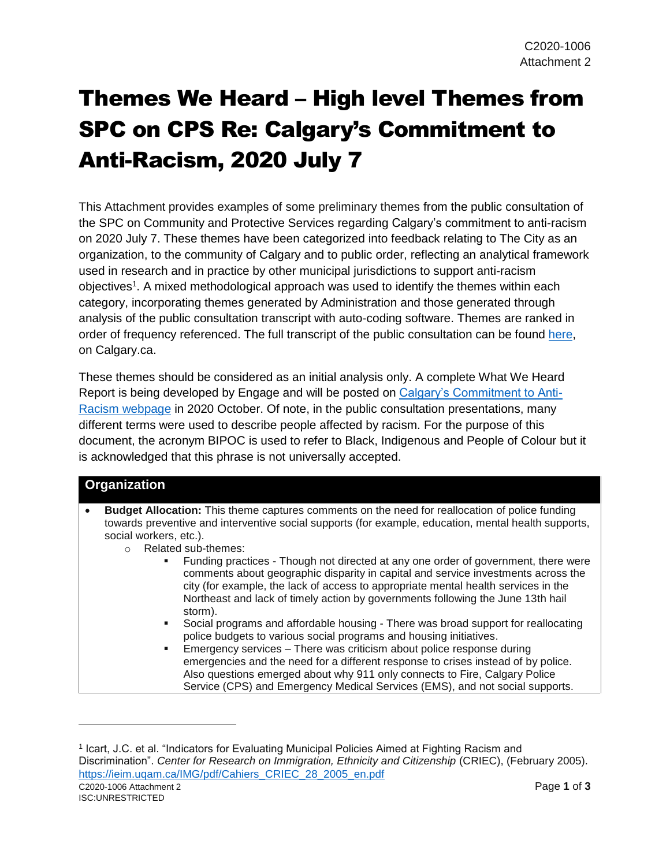## Themes We Heard – High level Themes from SPC on CPS Re: Calgary's Commitment to Anti-Racism, 2020 July 7

This Attachment provides examples of some preliminary themes from the public consultation of the SPC on Community and Protective Services regarding Calgary's commitment to anti-racism on 2020 July 7. These themes have been categorized into feedback relating to The City as an organization, to the community of Calgary and to public order, reflecting an analytical framework used in research and in practice by other municipal jurisdictions to support anti-racism objectives<sup>1</sup>. A mixed methodological approach was used to identify the themes within each category, incorporating themes generated by Administration and those generated through analysis of the public consultation transcript with auto-coding software. Themes are ranked in order of frequency referenced. The full transcript of the public consultation can be found [here,](https://www.calgary.ca/csps/cns/calgarys-commitment-to-anti-racism.html?redirect=/anti-racism) on Calgary.ca.

These themes should be considered as an initial analysis only. A complete What We Heard Report is being developed by Engage and will be posted on [Calgary's Commitment to Anti-](https://www.calgary.ca/csps/cns/calgarys-commitment-to-anti-racism.html?redirect=/anti-racism)[Racism webpage](https://www.calgary.ca/csps/cns/calgarys-commitment-to-anti-racism.html?redirect=/anti-racism) in 2020 October. Of note, in the public consultation presentations, many different terms were used to describe people affected by racism. For the purpose of this document, the acronym BIPOC is used to refer to Black, Indigenous and People of Colour but it is acknowledged that this phrase is not universally accepted.

## **Organization**

- **Budget Allocation:** This theme captures comments on the need for reallocation of police funding towards preventive and interventive social supports (for example, education, mental health supports, social workers, etc.).
	- o Related sub-themes:
		- Funding practices Though not directed at any one order of government, there were comments about geographic disparity in capital and service investments across the city (for example, the lack of access to appropriate mental health services in the Northeast and lack of timely action by governments following the June 13th hail storm).
		- Social programs and affordable housing There was broad support for reallocating police budgets to various social programs and housing initiatives.
		- Emergency services There was criticism about police response during emergencies and the need for a different response to crises instead of by police. Also questions emerged about why 911 only connects to Fire, Calgary Police Service (CPS) and Emergency Medical Services (EMS), and not social supports.

l

C2020-1006 Attachment 2 Page **1** of **3** 1 Icart, J.C. et al. "Indicators for Evaluating Municipal Policies Aimed at Fighting Racism and Discrimination". *Center for Research on Immigration, Ethnicity and Citizenship* (CRIEC), (February 2005). [https://ieim.uqam.ca/IMG/pdf/Cahiers\\_CRIEC\\_28\\_2005\\_en.pdf](https://ieim.uqam.ca/IMG/pdf/Cahiers_CRIEC_28_2005_en.pdf)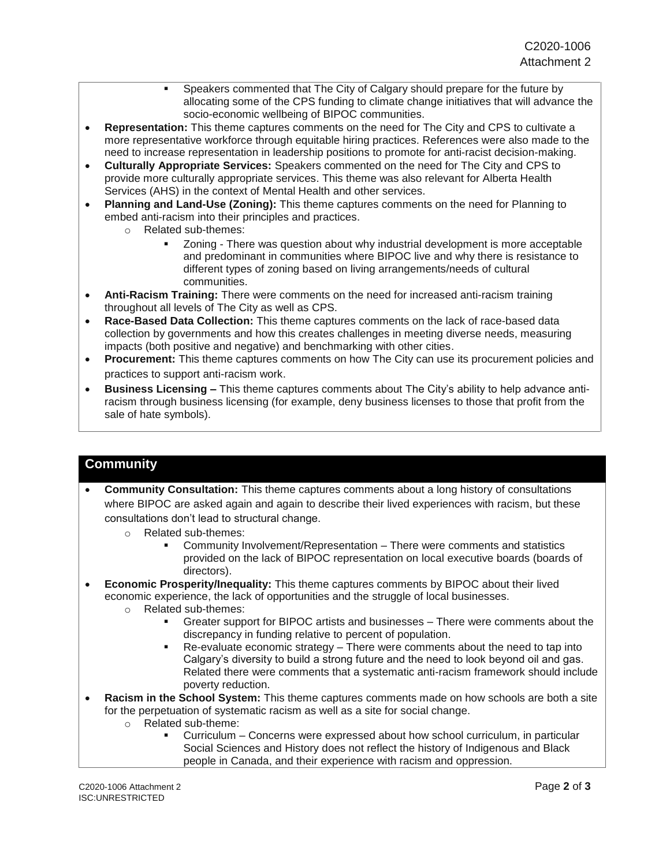- Speakers commented that The City of Calgary should prepare for the future by allocating some of the CPS funding to climate change initiatives that will advance the socio-economic wellbeing of BIPOC communities.
- **Representation:** This theme captures comments on the need for The City and CPS to cultivate a more representative workforce through equitable hiring practices. References were also made to the need to increase representation in leadership positions to promote for anti-racist decision-making.
- **Culturally Appropriate Services:** Speakers commented on the need for The City and CPS to provide more culturally appropriate services. This theme was also relevant for Alberta Health Services (AHS) in the context of Mental Health and other services.
- **Planning and Land-Use (Zoning):** This theme captures comments on the need for Planning to embed anti-racism into their principles and practices.
	- o Related sub-themes:
		- Zoning There was question about why industrial development is more acceptable and predominant in communities where BIPOC live and why there is resistance to different types of zoning based on living arrangements/needs of cultural communities.
- **Anti-Racism Training:** There were comments on the need for increased anti-racism training throughout all levels of The City as well as CPS.
- **Race-Based Data Collection:** This theme captures comments on the lack of race-based data collection by governments and how this creates challenges in meeting diverse needs, measuring impacts (both positive and negative) and benchmarking with other cities.
- **Procurement:** This theme captures comments on how The City can use its procurement policies and practices to support anti-racism work.
- **Business Licensing –** This theme captures comments about The City's ability to help advance antiracism through business licensing (for example, deny business licenses to those that profit from the sale of hate symbols).

## **Community**

- **Community Consultation:** This theme captures comments about a long history of consultations where BIPOC are asked again and again to describe their lived experiences with racism, but these consultations don't lead to structural change.
	- o Related sub-themes:
		- Community Involvement/Representation There were comments and statistics provided on the lack of BIPOC representation on local executive boards (boards of directors).
- **Economic Prosperity/Inequality:** This theme captures comments by BIPOC about their lived economic experience, the lack of opportunities and the struggle of local businesses.
	- o Related sub-themes:
		- Greater support for BIPOC artists and businesses There were comments about the discrepancy in funding relative to percent of population.
		- Re-evaluate economic strategy There were comments about the need to tap into Calgary's diversity to build a strong future and the need to look beyond oil and gas. Related there were comments that a systematic anti-racism framework should include poverty reduction.
- **Racism in the School System:** This theme captures comments made on how schools are both a site for the perpetuation of systematic racism as well as a site for social change.
	- o Related sub-theme:
		- Curriculum Concerns were expressed about how school curriculum, in particular Social Sciences and History does not reflect the history of Indigenous and Black people in Canada, and their experience with racism and oppression.